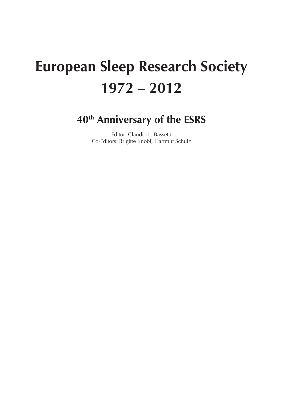# **European Sleep Research Society 1972 – 2012**

## **40th Anniversary of the ESRS**

Editor: Claudio L. Bassetti Co-Editors: Brigitte Knobl, Hartmut Schulz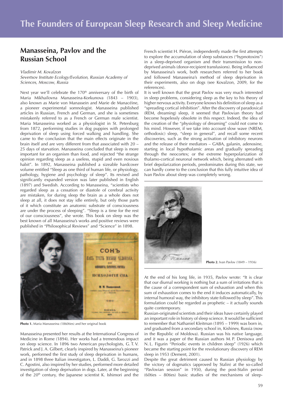### **Manasseina, Pavlov and the Russian School**

#### *Vladimir M. Kovalzon*

*Severtsov Institute Ecology/Evolution, Russian Academy of Sciences, Moscow, Russia*

Next year we'll celebrate the 170<sup>th</sup> anniversary of the birth of Maria Mikhailovna Manasseina-Korkunova (1843 – 1903), also known as Marie von Manassein and Marie de Manacéine, a pioneer experimental somnologist. Manasseina published articles in Russian, French and German, and she is sometimes mistakenly referred to as a French or German male scientist. Maria Manasseina worked as a physiologist in St. Petersburg from 1872, performing studies in dog puppies with prolonged deprivation of sleep using forced walking and handling. She came to the conclusion that the main effects originate in the brain itself and are very different from that associated with 20 – 25 days of starvation. Manasseina concluded that sleep is more important for an organism than food, and rejected "the strange opinion regarding sleep as a useless, stupid and even noxious habit". In 1892, Manasseina published a sizeable hardcover volume entitled "Sleep as one third of human life, or physiology, pathology, hygiene and psychology of sleep". Its revised and significantly expanded version was later published in English (1897) and Swedish. According to Manasseina, "scientists who regarded sleep as a cessation or diastole of cerebral activity are mistaken, for during sleep the brain as a whole does not sleep at all, it does not stay idle entirely, but only those parts of it which constitute an anatomic substrate of consciousness are under the process of sleeping". "Sleep is a time for the rest of our consciousness", she wrote. This book on sleep was the best known of all Manasseina's works and positive reviews were published in "Philosophical Reviews" and "Science" in 1898.



**Photo 1.** Maria Manasseina (1860ties) and her original book

Manasseina presented her results at the International Congress of Medicine in Rome (1894). Her works had a tremendous impact on sleep science. In 1896 two American psychologists, G. T. V. Patrick and J. A. Gilbert, clearly inspired by Manasseina's pioneer work, performed the first study of sleep deprivation in humans, and in 1898 three Italian investigators, L. Daddi, G. Tarozzi and C. Agostini, also inspired by her studies, performed more detailed investigation of sleep deprivation in dogs. Later, at the beginning of the  $20<sup>th</sup>$  century, the Japanese scientist K. Ishimori and the

French scientist H. Piéron, independently made the first attempts to explore the accumulation of sleep substances ("hypnotoxins") in a sleep-deprived organism and their transmission to nondeprived animals (donor-recipient transfusions). Being influenced by Manasseina's work, both researchers referred to her book and followed Manasseina's method of sleep deprivation in their experiments, also on dogs (see Kovalzon, 2009, for the references).

It is well known that the great Pavlov was very much interested in sleep problems, considering sleep as the key to his theory of higher nervous activity. Everyone knows his definition of sleep as a "spreading cortical inhibition". After the discovery of paradoxical (REM, dreaming) sleep, it seemed that Pavlovian theory had become hopelessly obsolete in this respect. Indeed, the idea of the creation of the "physiology of dreaming" could not come to his mind. However, if we take into account slow wave (NREM, orthodoxic) sleep, "sleep in general", and recall some recent discoveries, such as the strong activation of inhibitory neurons and the release of their mediators – GABA, galanin, adenosine, starting in local hypothalamic areas and gradually spreading through the neocortex; or the extreme hyperpolarization of thalamo-cortical neuronal network which, being alternated with brief depolarization periods, predominates during this state, we can hardly come to the conclusion that this fully intuitive idea of Ivan Pavlov about sleep was completely wrong.



**Photo 2.** Ivan Pavlov (1849 – 1936)

At the end of his long life, in 1935, Pavlov wrote: "It is clear that our diurnal working is nothing but a sum of irritations that is the cause of a correspondent sum of exhaustion and when this sum of exhaustion comes to the end it induces automatically, by internal humoral way, the inhibitory state followed by sleep". This formulation could be regarded as prophetic – it actually sounds quite contemporary.

Russian-originated scientists and their ideas have certainly played an important role in history of sleep science. It would be sufficient to remember that Nathaniel Kleitman (1895 – 1999) was born in, and graduated from a secondary school in, Kishinev, Russia (now in the Republic of Moldova). Russian was his native language, and it was a paper of the Russian authors M. P. Denisova and N. L. Figurin "Periodic events in children sleep" (1926) which became the starting point for the revolutionary discovery of REM sleep in 1953 (Dement, 2001).

Despite the great detriment caused to Russian physiology by the victory of dogmatics (approved by Stalin) at the so-called "Pavlovian session" in 1950, during the post-Stalin period (60ties – 80ties) basic studies of the mechanisms of sleep-